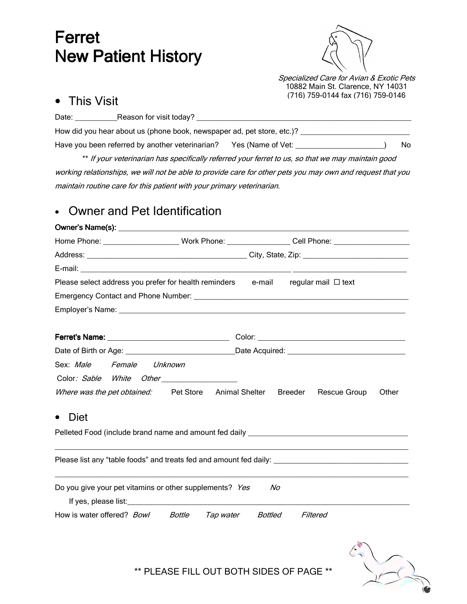# Ferret **New Patient History**



Specialized Care for Avian & Exotic Pets 10882 Main St. Clarence, NY 14031 (716) 759-0144 fax (716) 759-0146

### • This Visit

| Date: | Reason for visit today?                                                |     |
|-------|------------------------------------------------------------------------|-----|
|       | How did you hear about us (phone book, newspaper ad, pet store, etc.)? |     |
|       | Have you been referred by another veterinarian? Yes (Name of Vet:      | No. |
|       |                                                                        |     |

\*\* If your veterinarian has specifically referred your ferret to us, so that we may maintain good working relationships, we will not be able to provide care for other pets you may own and request that you maintain routine care for this patient with your primary veterinarian.

# • Owner and Pet Identification

|                                                                                                                                                                                                                                                                                                 |  | Home Phone: ______________________Work Phone: _________________Cell Phone: _________________________ |       |  |  |  |
|-------------------------------------------------------------------------------------------------------------------------------------------------------------------------------------------------------------------------------------------------------------------------------------------------|--|------------------------------------------------------------------------------------------------------|-------|--|--|--|
|                                                                                                                                                                                                                                                                                                 |  |                                                                                                      |       |  |  |  |
|                                                                                                                                                                                                                                                                                                 |  |                                                                                                      |       |  |  |  |
| Please select address you prefer for health reminders e-mail regular mail $\Box$ text                                                                                                                                                                                                           |  |                                                                                                      |       |  |  |  |
|                                                                                                                                                                                                                                                                                                 |  |                                                                                                      |       |  |  |  |
|                                                                                                                                                                                                                                                                                                 |  |                                                                                                      |       |  |  |  |
|                                                                                                                                                                                                                                                                                                 |  |                                                                                                      |       |  |  |  |
|                                                                                                                                                                                                                                                                                                 |  |                                                                                                      |       |  |  |  |
|                                                                                                                                                                                                                                                                                                 |  |                                                                                                      |       |  |  |  |
| Sex: Male Female Unknown                                                                                                                                                                                                                                                                        |  |                                                                                                      |       |  |  |  |
|                                                                                                                                                                                                                                                                                                 |  |                                                                                                      |       |  |  |  |
|                                                                                                                                                                                                                                                                                                 |  | Where was the pet obtained: Pet Store Animal Shelter Breeder Rescue Group                            | Other |  |  |  |
| Diet<br>$\bullet$                                                                                                                                                                                                                                                                               |  |                                                                                                      |       |  |  |  |
|                                                                                                                                                                                                                                                                                                 |  |                                                                                                      |       |  |  |  |
|                                                                                                                                                                                                                                                                                                 |  | Please list any "table foods" and treats fed and amount fed daily: _________________________________ |       |  |  |  |
| Do you give your pet vitamins or other supplements? Yes<br>If yes, please list: <u>contract the set of the set of the set of the set of the set of the set of the set of the set of the set of the set of the set of the set of the set of the set of the set of the set of the set of the </u> |  | Nο                                                                                                   |       |  |  |  |
| How is water offered? Bowl Bottle Tap water Bottled                                                                                                                                                                                                                                             |  | Filtered                                                                                             |       |  |  |  |



\*\* PLEASE FILL OUT BOTH SIDES OF PAGE \*\*